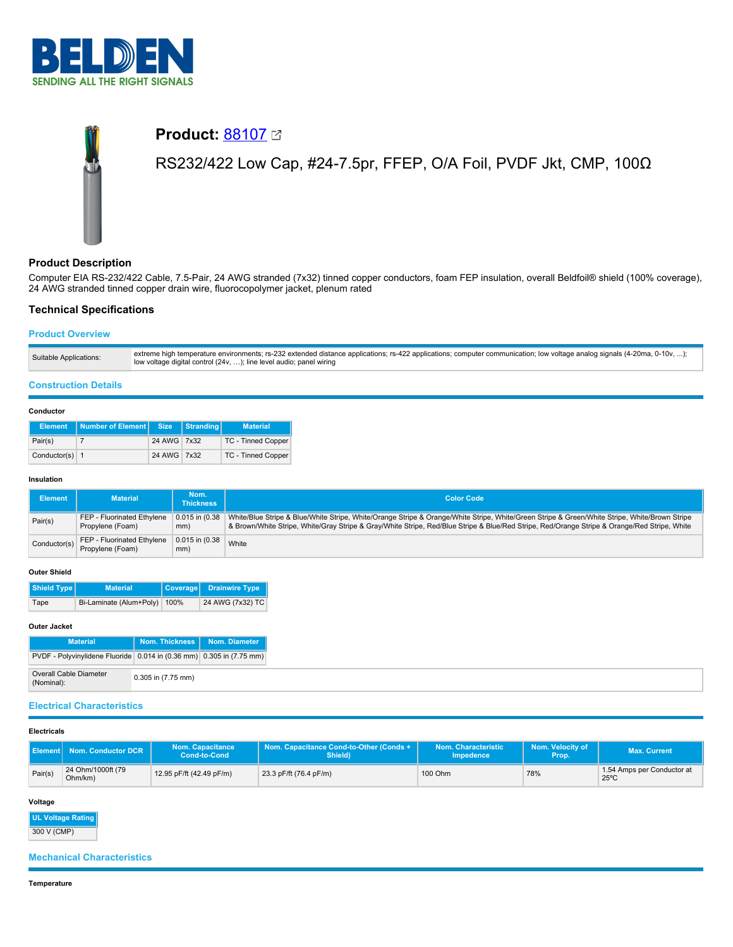

# **Product: [88107](https://catalog.belden.com/index.cfm?event=pd&p=PF_88107&tab=downloads) 22** RS232/422 Low Cap, #24-7.5pr, FFEP, O/A Foil, PVDF Jkt, CMP, 100Ω

# **Product Description**

Computer EIA RS-232/422 Cable, 7.5-Pair, 24 AWG stranded (7x32) tinned copper conductors, foam FEP insulation, overall Beldfoil® shield (100% coverage), 24 AWG stranded tinned copper drain wire, fluorocopolymer jacket, plenum rated

# **Technical Specifications**

# **Product Overview**

| Suitable Applications: | extreme high temperature environments; rs-232 extended distance applications; rs-422 applications; computer communication; low voltage analog signals (4-20ma, 0-10v, );<br>low voltage digital control (24v, ); line level audio; panel wiring |
|------------------------|-------------------------------------------------------------------------------------------------------------------------------------------------------------------------------------------------------------------------------------------------|
|------------------------|-------------------------------------------------------------------------------------------------------------------------------------------------------------------------------------------------------------------------------------------------|

# **Construction Details**

## **Conductor**

| <b>Element</b>   | Number of Element Size Stranding |             | <b>Material</b>    |
|------------------|----------------------------------|-------------|--------------------|
| Pair(s)          |                                  | 24 AWG 7x32 | TC - Tinned Copper |
| Conductor(s) $1$ |                                  | 24 AWG 7x32 | TC - Tinned Copper |

## **Insulation**

| Element      | <b>Material</b>                                | Nom.\<br><b>Thickness</b>  | <b>Color Code</b>                                                                                                                                                                                                                                                                             |
|--------------|------------------------------------------------|----------------------------|-----------------------------------------------------------------------------------------------------------------------------------------------------------------------------------------------------------------------------------------------------------------------------------------------|
| Pair(s)      | FEP - Fluorinated Ethylene<br>Propylene (Foam) | $0.015$ in $(0.38)$<br>mm) | White/Blue Stripe & Blue/White Stripe, White/Orange Stripe & Orange/White Stripe, White/Green Stripe & Green/White Stripe, White/Brown Stripe<br>& Brown/White Stripe, White/Gray Stripe & Gray/White Stripe, Red/Blue Stripe & Blue/Red Stripe, Red/Orange Stripe & Orange/Red Stripe, White |
| Conductor(s) | FEP - Fluorinated Ethylene<br>Propylene (Foam) | $0.015$ in $(0.38)$<br>mm) | White                                                                                                                                                                                                                                                                                         |

## **Outer Shield**

| Shield Type | <b>Material</b>              | Coverage Drainwire Type |
|-------------|------------------------------|-------------------------|
| Tape        | Bi-Laminate (Alum+Poly) 100% | 24 AWG (7x32) TC        |

## **Outer Jacket**

| <b>Material</b>                                                      | Nom. Thickness   Nom. Diameter |  |
|----------------------------------------------------------------------|--------------------------------|--|
| PVDF - Polyvinylidene Fluoride 0.014 in (0.36 mm) 0.305 in (7.75 mm) |                                |  |
| Overall Cable Diameter<br>(Nominal):                                 | 0.305 in (7.75 mm)             |  |

# **Electrical Characteristics**

### **Electricals**

|         | Element Nom. Conductor DCR   | Nom. Capacitance<br>Cond-to-Cond | Nom. Capacitance Cond-to-Other (Conds +<br>Shield) | Nom. Characteristic<br><b>Impedence</b> | Nom. Velocity of<br>Prop. | <b>Max. Current</b>                          |
|---------|------------------------------|----------------------------------|----------------------------------------------------|-----------------------------------------|---------------------------|----------------------------------------------|
| Pair(s) | 24 Ohm/1000ft (79<br>Ohm/km) | 12.95 pF/ft (42.49 pF/m)         | 23.3 pF/ft (76.4 pF/m)                             | 100 Ohm                                 | 78%                       | 1.54 Amps per Conductor at<br>$25^{\circ}$ C |

**Voltage**

# **UL Voltage Rating**

300 V (CMP)

## **Mechanical Characteristics**